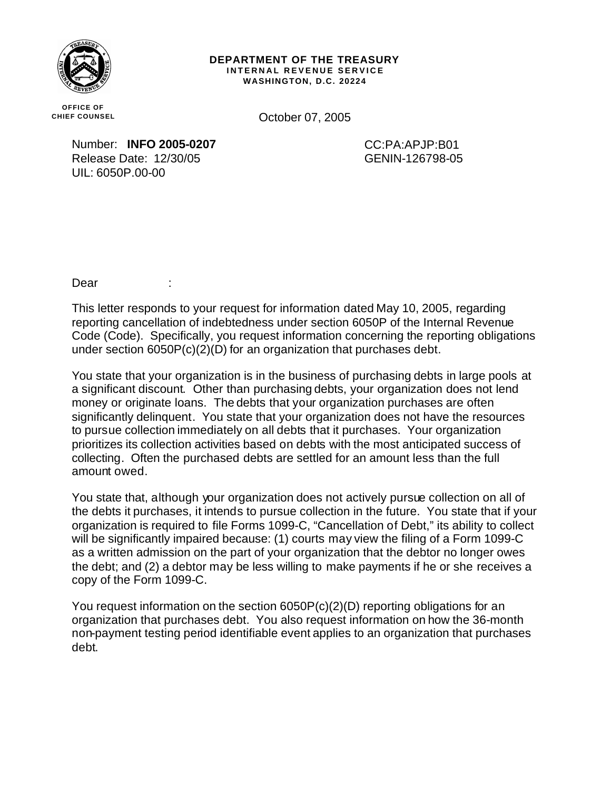

## **DEPARTMENT OF THE TREASURY INTERNAL REVENUE SERVICE WASHINGTON, D.C. 20224**

**OFFICE OF CHIEF COUNSEL**

October 07, 2005

Number: **INFO 2005-0207** Release Date: 12/30/05 UIL: 6050P.00-00

CC:PA:APJP:B01 GENIN-126798-05

Dear :

This letter responds to your request for information dated May 10, 2005, regarding reporting cancellation of indebtedness under section 6050P of the Internal Revenue Code (Code). Specifically, you request information concerning the reporting obligations under section 6050P(c)(2)(D) for an organization that purchases debt.

You state that your organization is in the business of purchasing debts in large pools at a significant discount. Other than purchasing debts, your organization does not lend money or originate loans. The debts that your organization purchases are often significantly delinquent. You state that your organization does not have the resources to pursue collection immediately on all debts that it purchases. Your organization prioritizes its collection activities based on debts with the most anticipated success of collecting. Often the purchased debts are settled for an amount less than the full amount owed.

You state that, although your organization does not actively pursue collection on all of the debts it purchases, it intends to pursue collection in the future. You state that if your organization is required to file Forms 1099-C, "Cancellation of Debt," its ability to collect will be significantly impaired because: (1) courts may view the filing of a Form 1099-C as a written admission on the part of your organization that the debtor no longer owes the debt; and (2) a debtor may be less willing to make payments if he or she receives a copy of the Form 1099-C.

You request information on the section 6050P(c)(2)(D) reporting obligations for an organization that purchases debt. You also request information on how the 36-month non-payment testing period identifiable event applies to an organization that purchases debt.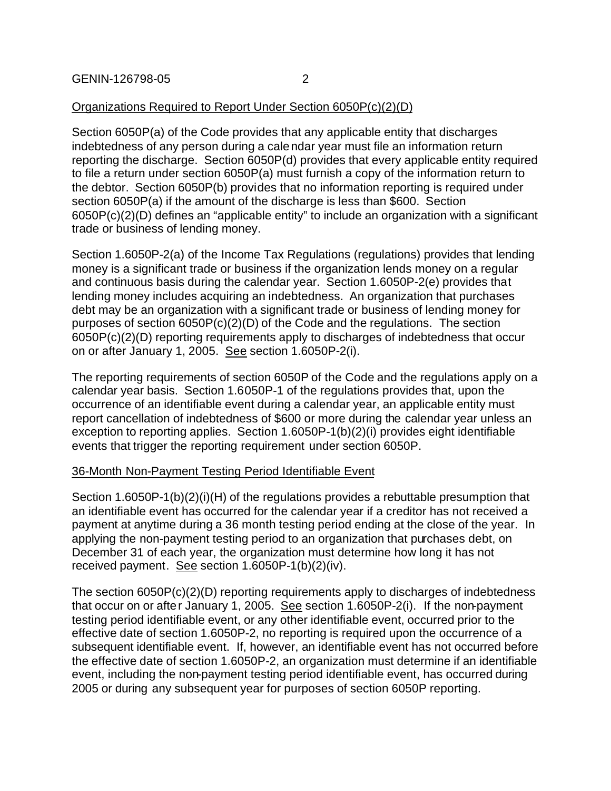## Organizations Required to Report Under Section 6050P(c)(2)(D)

Section 6050P(a) of the Code provides that any applicable entity that discharges indebtedness of any person during a calendar year must file an information return reporting the discharge. Section 6050P(d) provides that every applicable entity required to file a return under section 6050P(a) must furnish a copy of the information return to the debtor. Section 6050P(b) provides that no information reporting is required under section 6050P(a) if the amount of the discharge is less than \$600. Section 6050P(c)(2)(D) defines an "applicable entity" to include an organization with a significant trade or business of lending money.

Section 1.6050P-2(a) of the Income Tax Regulations (regulations) provides that lending money is a significant trade or business if the organization lends money on a regular and continuous basis during the calendar year. Section 1.6050P-2(e) provides that lending money includes acquiring an indebtedness. An organization that purchases debt may be an organization with a significant trade or business of lending money for purposes of section 6050P(c)(2)(D) of the Code and the regulations. The section 6050P(c)(2)(D) reporting requirements apply to discharges of indebtedness that occur on or after January 1, 2005. See section 1.6050P-2(i).

The reporting requirements of section 6050P of the Code and the regulations apply on a calendar year basis. Section 1.6050P-1 of the regulations provides that, upon the occurrence of an identifiable event during a calendar year, an applicable entity must report cancellation of indebtedness of \$600 or more during the calendar year unless an exception to reporting applies. Section 1.6050P-1(b)(2)(i) provides eight identifiable events that trigger the reporting requirement under section 6050P.

## 36-Month Non-Payment Testing Period Identifiable Event

Section 1.6050P-1(b)(2)(i)(H) of the regulations provides a rebuttable presumption that an identifiable event has occurred for the calendar year if a creditor has not received a payment at anytime during a 36 month testing period ending at the close of the year. In applying the non-payment testing period to an organization that purchases debt, on December 31 of each year, the organization must determine how long it has not received payment. See section 1.6050P-1(b)(2)(iv).

The section 6050P(c)(2)(D) reporting requirements apply to discharges of indebtedness that occur on or after January 1, 2005. See section 1.6050P-2(i). If the non-payment testing period identifiable event, or any other identifiable event, occurred prior to the effective date of section 1.6050P-2, no reporting is required upon the occurrence of a subsequent identifiable event. If, however, an identifiable event has not occurred before the effective date of section 1.6050P-2, an organization must determine if an identifiable event, including the non-payment testing period identifiable event, has occurred during 2005 or during any subsequent year for purposes of section 6050P reporting.